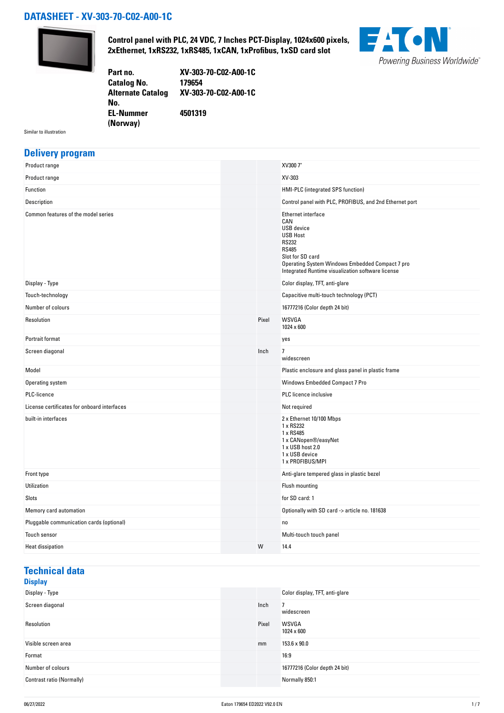### **DATASHEET - XV-303-70-C02-A00-1C**



**Control panel with PLC, 24 VDC, 7 Inches PCT-Display, 1024x600 pixels, 2xEthernet, 1xRS232, 1xRS485, 1xCAN, 1xProfibus, 1xSD card slot**



**Part no. XV-303-70-C02-A00-1C Catalog No. Alternate Catalog No. XV-303-70-C02-A00-1C EL-Nummer (Norway) 4501319**

Similar to illustration

#### **Delivery program**

| Product range                               |       | XV300 7"                                                                                                                                                                                                                      |
|---------------------------------------------|-------|-------------------------------------------------------------------------------------------------------------------------------------------------------------------------------------------------------------------------------|
| Product range                               |       | XV-303                                                                                                                                                                                                                        |
| Function                                    |       | HMI-PLC (integrated SPS function)                                                                                                                                                                                             |
| Description                                 |       | Control panel with PLC, PROFIBUS, and 2nd Ethernet port                                                                                                                                                                       |
| Common features of the model series         |       | Ethernet interface<br>CAN<br><b>USB</b> device<br><b>USB Host</b><br><b>RS232</b><br><b>RS485</b><br>Slot for SD card<br>Operating System Windows Embedded Compact 7 pro<br>Integrated Runtime visualization software license |
| Display - Type                              |       | Color display, TFT, anti-glare                                                                                                                                                                                                |
| Touch-technology                            |       | Capacitive multi-touch technology (PCT)                                                                                                                                                                                       |
| Number of colours                           |       | 16777216 (Color depth 24 bit)                                                                                                                                                                                                 |
| Resolution                                  | Pixel | WSVGA<br>1024 x 600                                                                                                                                                                                                           |
| Portrait format                             |       | yes                                                                                                                                                                                                                           |
| Screen diagonal                             | Inch  | 7<br>widescreen                                                                                                                                                                                                               |
| Model                                       |       | Plastic enclosure and glass panel in plastic frame                                                                                                                                                                            |
| Operating system                            |       | Windows Embedded Compact 7 Pro                                                                                                                                                                                                |
| PLC-licence                                 |       | <b>PLC</b> licence inclusive                                                                                                                                                                                                  |
| License certificates for onboard interfaces |       | Not required                                                                                                                                                                                                                  |
| built-in interfaces                         |       | 2 x Ethernet 10/100 Mbps<br>1 x RS232<br>1 x RS485<br>1 x CANopen®/easyNet<br>1 x USB host 2.0<br>1 x USB device<br>1 x PROFIBUS/MPI                                                                                          |
| Front type                                  |       | Anti-glare tempered glass in plastic bezel                                                                                                                                                                                    |
| Utilization                                 |       | Flush mounting                                                                                                                                                                                                                |
| Slots                                       |       | for SD card: 1                                                                                                                                                                                                                |
| Memory card automation                      |       | Optionally with SD card -> article no. 181638                                                                                                                                                                                 |
| Pluggable communication cards (optional)    |       | no                                                                                                                                                                                                                            |
| Touch sensor                                |       | Multi-touch touch panel                                                                                                                                                                                                       |
| <b>Heat dissipation</b>                     | W     | 14.4                                                                                                                                                                                                                          |

## **Technical data**

#### **Display**<br>Display - Type Color display, TFT, anti-glare Screen diagonal and the set of the set of the set of the set of the set of the set of the set of the set of the set of the set of the set of the set of the set of the set of the set of the set of the set of the set of the widescreen Resolution **Pixel WSVGA** 1024 x 600 Visible screen area mm 153.6 x 90.0 Format 16:9 Number of colours 16777216 (Color depth 24 bit) Contrast ratio (Normally) Normally 850:1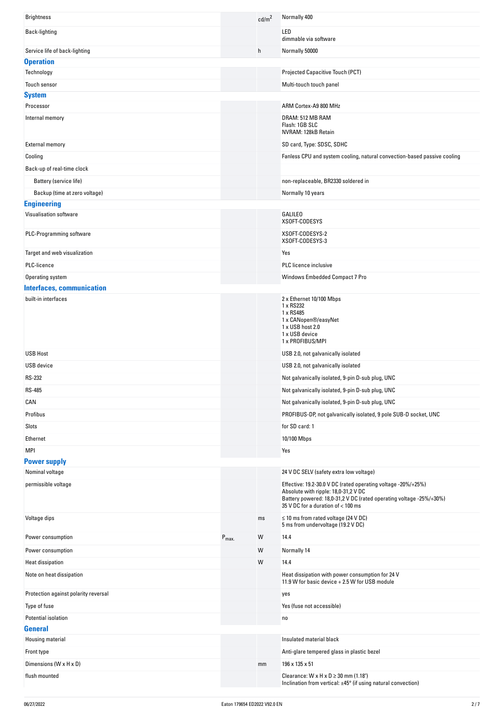| <b>Brightness</b>                    |                  | cd/m <sup>2</sup> | Normally 400                                                                                                                                                                                                       |
|--------------------------------------|------------------|-------------------|--------------------------------------------------------------------------------------------------------------------------------------------------------------------------------------------------------------------|
| Back-lighting                        |                  |                   | LED<br>dimmable via software                                                                                                                                                                                       |
| Service life of back-lighting        |                  | h                 | Normally 50000                                                                                                                                                                                                     |
| <b>Operation</b>                     |                  |                   |                                                                                                                                                                                                                    |
| Technology                           |                  |                   | Projected Capacitive Touch (PCT)                                                                                                                                                                                   |
| Touch sensor                         |                  |                   | Multi-touch touch panel                                                                                                                                                                                            |
| <b>System</b>                        |                  |                   |                                                                                                                                                                                                                    |
| Processor                            |                  |                   | ARM Cortex-A9 800 MHz                                                                                                                                                                                              |
| Internal memory                      |                  |                   | DRAM: 512 MB RAM<br>Flash: 1GB SLC<br>NVRAM: 128kB Retain                                                                                                                                                          |
| <b>External memory</b>               |                  |                   | SD card, Type: SDSC, SDHC                                                                                                                                                                                          |
| Cooling                              |                  |                   | Fanless CPU and system cooling, natural convection-based passive cooling                                                                                                                                           |
| Back-up of real-time clock           |                  |                   |                                                                                                                                                                                                                    |
| Battery (service life)               |                  |                   | non-replaceable, BR2330 soldered in                                                                                                                                                                                |
| Backup (time at zero voltage)        |                  |                   | Normally 10 years                                                                                                                                                                                                  |
| <b>Engineering</b>                   |                  |                   |                                                                                                                                                                                                                    |
| Visualisation software               |                  |                   | <b>GALILEO</b>                                                                                                                                                                                                     |
|                                      |                  |                   | XSOFT-CODESYS                                                                                                                                                                                                      |
| PLC-Programming software             |                  |                   | XSOFT-CODESYS-2<br>XSOFT-CODESYS-3                                                                                                                                                                                 |
| Target and web visualization         |                  |                   | Yes                                                                                                                                                                                                                |
| PLC-licence                          |                  |                   | PLC licence inclusive                                                                                                                                                                                              |
| Operating system                     |                  |                   | Windows Embedded Compact 7 Pro                                                                                                                                                                                     |
| <b>Interfaces, communication</b>     |                  |                   |                                                                                                                                                                                                                    |
| built-in interfaces                  |                  |                   | 2 x Ethernet 10/100 Mbps<br>1 x RS232<br>1 x RS485<br>1 x CANopen®/easyNet<br>1 x USB host 2.0<br>1 x USB device<br>1 x PROFIBUS/MPI                                                                               |
| <b>USB Host</b>                      |                  |                   | USB 2.0, not galvanically isolated                                                                                                                                                                                 |
| <b>USB</b> device                    |                  |                   | USB 2.0, not galvanically isolated                                                                                                                                                                                 |
| <b>RS-232</b>                        |                  |                   | Not galvanically isolated, 9-pin D-sub plug, UNC                                                                                                                                                                   |
| <b>RS-485</b>                        |                  |                   | Not galvanically isolated, 9-pin D-sub plug, UNC                                                                                                                                                                   |
| CAN                                  |                  |                   | Not galvanically isolated, 9-pin D-sub plug, UNC                                                                                                                                                                   |
| Profibus                             |                  |                   | PROFIBUS-DP, not galvanically isolated, 9 pole SUB-D socket, UNC                                                                                                                                                   |
| Slots                                |                  |                   | for SD card: 1                                                                                                                                                                                                     |
| Ethernet                             |                  |                   | 10/100 Mbps                                                                                                                                                                                                        |
| <b>MPI</b>                           |                  |                   | Yes                                                                                                                                                                                                                |
| <b>Power supply</b>                  |                  |                   |                                                                                                                                                                                                                    |
| Nominal voltage                      |                  |                   | 24 V DC SELV (safety extra low voltage)                                                                                                                                                                            |
| permissible voltage                  |                  |                   | Effective: 19.2-30.0 V DC (rated operating voltage -20%/+25%)<br>Absolute with ripple: 18,0-31,2 V DC<br>Battery powered: 18,0-31,2 V DC (rated operating voltage -25%/+30%)<br>35 V DC for a duration of < 100 ms |
| Voltage dips                         |                  | ms                | $\leq$ 10 ms from rated voltage (24 V DC)<br>5 ms from undervoltage (19.2 V DC)                                                                                                                                    |
| Power consumption                    | $P_{\text{max}}$ | W                 | 14.4                                                                                                                                                                                                               |
| Power consumption                    |                  | W                 | Normally 14                                                                                                                                                                                                        |
| <b>Heat dissipation</b>              |                  | W                 | 14.4                                                                                                                                                                                                               |
| Note on heat dissipation             |                  |                   | Heat dissipation with power consumption for 24 V<br>11.9 W for basic device + 2.5 W for USB module                                                                                                                 |
| Protection against polarity reversal |                  |                   | yes                                                                                                                                                                                                                |
| Type of fuse                         |                  |                   | Yes (fuse not accessible)                                                                                                                                                                                          |
| Potential isolation                  |                  |                   | no                                                                                                                                                                                                                 |
| <b>General</b>                       |                  |                   |                                                                                                                                                                                                                    |
| Housing material                     |                  |                   | Insulated material black                                                                                                                                                                                           |
| Front type                           |                  |                   | Anti-glare tempered glass in plastic bezel                                                                                                                                                                         |
| Dimensions (W x H x D)               |                  | mm                | 196 x 135 x 51                                                                                                                                                                                                     |
| flush mounted                        |                  |                   | Clearance: $W \times H \times D \ge 30$ mm (1.18")<br>Inclination from vertical: ±45° (if using natural convection)                                                                                                |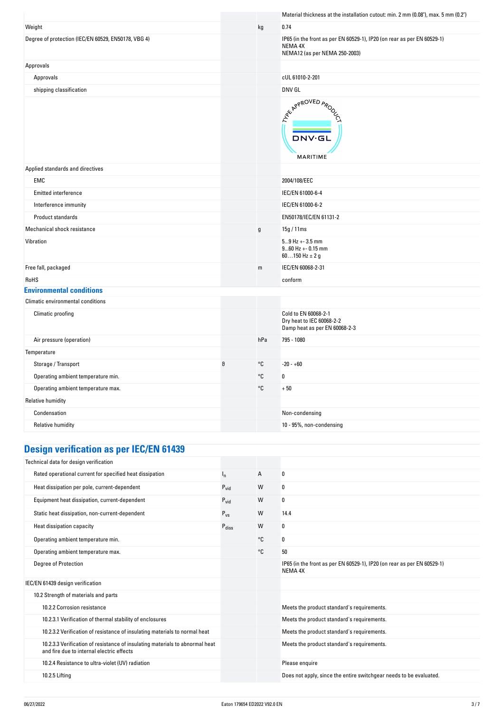|                                                     |   |               | Material thickness at the installation cutout: min. 2 mm (0.08"), max. 5 mm (0.2")                                  |
|-----------------------------------------------------|---|---------------|---------------------------------------------------------------------------------------------------------------------|
| Weight                                              |   | kg            | 0.74                                                                                                                |
| Degree of protection (IEC/EN 60529, EN50178, VBG 4) |   |               | IP65 (in the front as per EN 60529-1), IP20 (on rear as per EN 60529-1)<br>NEMA 4X<br>NEMA12 (as per NEMA 250-2003) |
| Approvals                                           |   |               |                                                                                                                     |
| Approvals                                           |   |               | cUL 61010-2-201                                                                                                     |
| shipping classification                             |   |               | DNV GL                                                                                                              |
|                                                     |   |               | ARY APPROVED APON<br><b>DNV·GL</b><br>MARITIME                                                                      |
| Applied standards and directives                    |   |               |                                                                                                                     |
| EMC                                                 |   |               | 2004/108/EEC                                                                                                        |
| Emitted interference                                |   |               | IEC/EN 61000-6-4                                                                                                    |
| Interference immunity                               |   |               | IEC/EN 61000-6-2                                                                                                    |
| Product standards                                   |   |               | EN50178/IEC/EN 61131-2                                                                                              |
| Mechanical shock resistance                         |   | $\mathfrak g$ | 15g / 11ms                                                                                                          |
| Vibration                                           |   |               | $59$ Hz + - 3.5 mm<br>$960$ Hz + - 0.15 mm<br>60150 Hz $\pm$ 2 g                                                    |
| Free fall, packaged                                 |   | m             | IEC/EN 60068-2-31                                                                                                   |
| RoHS                                                |   |               | conform                                                                                                             |
| <b>Environmental conditions</b>                     |   |               |                                                                                                                     |
| Climatic environmental conditions                   |   |               |                                                                                                                     |
| Climatic proofing                                   |   |               | Cold to EN 60068-2-1<br>Dry heat to IEC 60068-2-2<br>Damp heat as per EN 60068-2-3                                  |
| Air pressure (operation)                            |   | hPa           | 795 - 1080                                                                                                          |
| Temperature                                         |   |               |                                                                                                                     |
| Storage / Transport                                 | θ | $^{\circ}$ C  | $-20 - +60$                                                                                                         |
| Operating ambient temperature min.                  |   | $^{\circ}$ C  | $\pmb{0}$                                                                                                           |
| Operating ambient temperature max.                  |   | °C            | $+50$                                                                                                               |
| <b>Relative humidity</b>                            |   |               |                                                                                                                     |
| Condensation                                        |   |               | Non-condensing                                                                                                      |
| <b>Relative humidity</b>                            |   |               | 10 - 95%, non-condensing                                                                                            |
|                                                     |   |               |                                                                                                                     |

# **Design verification as per IEC/EN 61439**

| Technical data for design verification                                                                                    |                   |    |                                                                                    |
|---------------------------------------------------------------------------------------------------------------------------|-------------------|----|------------------------------------------------------------------------------------|
| Rated operational current for specified heat dissipation                                                                  | ı,                | A  | 0                                                                                  |
| Heat dissipation per pole, current-dependent                                                                              | $P_{\text{vid}}$  | W  | 0                                                                                  |
| Equipment heat dissipation, current-dependent                                                                             | $P_{\text{vid}}$  | W  | 0                                                                                  |
| Static heat dissipation, non-current-dependent                                                                            | $P_{VS}$          | W  | 14.4                                                                               |
| Heat dissipation capacity                                                                                                 | $P_{\text{diss}}$ | W  | 0                                                                                  |
| Operating ambient temperature min.                                                                                        |                   | °C | 0                                                                                  |
| Operating ambient temperature max.                                                                                        |                   | °C | 50                                                                                 |
| <b>Degree of Protection</b>                                                                                               |                   |    | IP65 (in the front as per EN 60529-1), IP20 (on rear as per EN 60529-1)<br>NEMA 4X |
| IEC/EN 61439 design verification                                                                                          |                   |    |                                                                                    |
| 10.2 Strength of materials and parts                                                                                      |                   |    |                                                                                    |
| 10.2.2 Corrosion resistance                                                                                               |                   |    | Meets the product standard's requirements.                                         |
| 10.2.3.1 Verification of thermal stability of enclosures                                                                  |                   |    | Meets the product standard's requirements.                                         |
| 10.2.3.2 Verification of resistance of insulating materials to normal heat                                                |                   |    | Meets the product standard's requirements.                                         |
| 10.2.3.3 Verification of resistance of insulating materials to abnormal heat<br>and fire due to internal electric effects |                   |    | Meets the product standard's requirements.                                         |
| 10.2.4 Resistance to ultra-violet (UV) radiation                                                                          |                   |    | Please enquire                                                                     |
| 10.2.5 Lifting                                                                                                            |                   |    | Does not apply, since the entire switchgear needs to be evaluated.                 |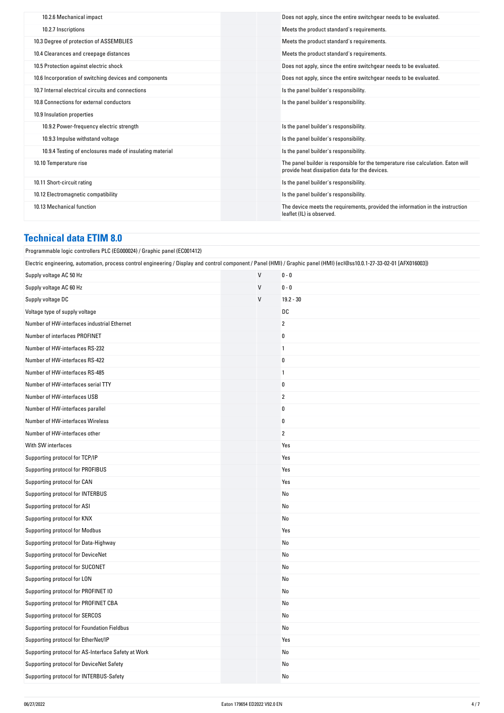| 10.2.6 Mechanical impact                                 | Does not apply, since the entire switchgear needs to be evaluated.                                                                  |
|----------------------------------------------------------|-------------------------------------------------------------------------------------------------------------------------------------|
| 10.2.7 Inscriptions                                      | Meets the product standard's requirements.                                                                                          |
| 10.3 Degree of protection of ASSEMBLIES                  | Meets the product standard's requirements.                                                                                          |
| 10.4 Clearances and creepage distances                   | Meets the product standard's requirements.                                                                                          |
| 10.5 Protection against electric shock                   | Does not apply, since the entire switchgear needs to be evaluated.                                                                  |
| 10.6 Incorporation of switching devices and components   | Does not apply, since the entire switchgear needs to be evaluated.                                                                  |
| 10.7 Internal electrical circuits and connections        | Is the panel builder's responsibility.                                                                                              |
| 10.8 Connections for external conductors                 | Is the panel builder's responsibility.                                                                                              |
| 10.9 Insulation properties                               |                                                                                                                                     |
| 10.9.2 Power-frequency electric strength                 | Is the panel builder's responsibility.                                                                                              |
| 10.9.3 Impulse withstand voltage                         | Is the panel builder's responsibility.                                                                                              |
| 10.9.4 Testing of enclosures made of insulating material | Is the panel builder's responsibility.                                                                                              |
| 10.10 Temperature rise                                   | The panel builder is responsible for the temperature rise calculation. Eaton will<br>provide heat dissipation data for the devices. |
| 10.11 Short-circuit rating                               | Is the panel builder's responsibility.                                                                                              |
| 10.12 Electromagnetic compatibility                      | Is the panel builder's responsibility.                                                                                              |
| 10.13 Mechanical function                                | The device meets the requirements, provided the information in the instruction<br>leaflet (IL) is observed.                         |
|                                                          |                                                                                                                                     |

## **Technical data ETIM 8.0**

| Programmable logic controllers PLC (EG000024) / Graphic panel (EC001412)                                                                                                 |              |                |  |
|--------------------------------------------------------------------------------------------------------------------------------------------------------------------------|--------------|----------------|--|
| Electric engineering, automation, process control engineering / Display and control component / Panel (HMI) / Graphic panel (HMI) (ecl@ss10.0.1-27-33-02-01 [AFX016003]) |              |                |  |
| Supply voltage AC 50 Hz                                                                                                                                                  | $\mathsf{V}$ | $0 - 0$        |  |
| Supply voltage AC 60 Hz                                                                                                                                                  | $\mathsf{V}$ | $0 - 0$        |  |
| Supply voltage DC                                                                                                                                                        | V            | $19.2 - 30$    |  |
| Voltage type of supply voltage                                                                                                                                           |              | DC             |  |
| Number of HW-interfaces industrial Ethernet                                                                                                                              |              | $\overline{2}$ |  |
| Number of interfaces PROFINET                                                                                                                                            |              | $\pmb{0}$      |  |
| Number of HW-interfaces RS-232                                                                                                                                           |              | $\mathbf{1}$   |  |
| Number of HW-interfaces RS-422                                                                                                                                           |              | $\pmb{0}$      |  |
| Number of HW-interfaces RS-485                                                                                                                                           |              | $\overline{1}$ |  |
| Number of HW-interfaces serial TTY                                                                                                                                       |              | $\bf{0}$       |  |
| Number of HW-interfaces USB                                                                                                                                              |              | $\overline{2}$ |  |
| Number of HW-interfaces parallel                                                                                                                                         |              | 0              |  |
| Number of HW-interfaces Wireless                                                                                                                                         |              | $\pmb{0}$      |  |
| Number of HW-interfaces other                                                                                                                                            |              | $\overline{2}$ |  |
| With SW interfaces                                                                                                                                                       |              | Yes            |  |
| Supporting protocol for TCP/IP                                                                                                                                           |              | Yes            |  |
| Supporting protocol for PROFIBUS                                                                                                                                         |              | Yes            |  |
| Supporting protocol for CAN                                                                                                                                              |              | Yes            |  |
| Supporting protocol for INTERBUS                                                                                                                                         |              | No             |  |
| Supporting protocol for ASI                                                                                                                                              |              | No             |  |
| Supporting protocol for KNX                                                                                                                                              |              | No             |  |
| Supporting protocol for Modbus                                                                                                                                           |              | Yes            |  |
| Supporting protocol for Data-Highway                                                                                                                                     |              | No             |  |
| Supporting protocol for DeviceNet                                                                                                                                        |              | No             |  |
| Supporting protocol for SUCONET                                                                                                                                          |              | No             |  |
| Supporting protocol for LON                                                                                                                                              |              | No             |  |
| Supporting protocol for PROFINET IO                                                                                                                                      |              | No             |  |
| Supporting protocol for PROFINET CBA                                                                                                                                     |              | No             |  |
| Supporting protocol for SERCOS                                                                                                                                           |              | No             |  |
| Supporting protocol for Foundation Fieldbus                                                                                                                              |              | No             |  |
| Supporting protocol for EtherNet/IP                                                                                                                                      |              | Yes            |  |
| Supporting protocol for AS-Interface Safety at Work                                                                                                                      |              | No             |  |
| Supporting protocol for DeviceNet Safety                                                                                                                                 |              | No             |  |
| Supporting protocol for INTERBUS-Safety                                                                                                                                  |              | No             |  |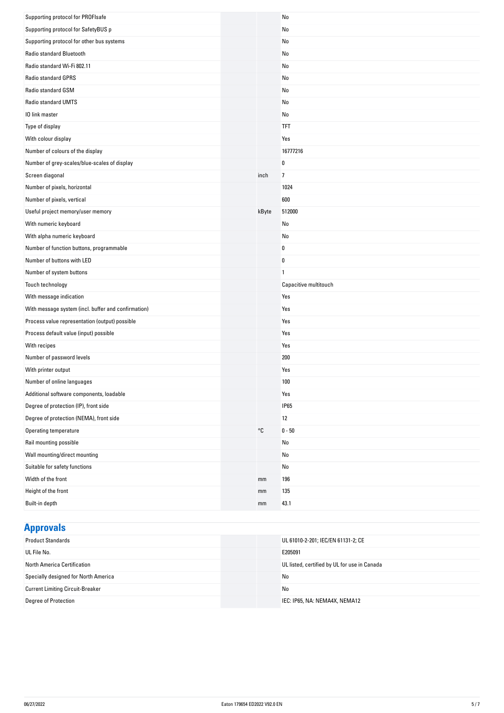| Supporting protocol for PROFIsafe                   |       | No                    |
|-----------------------------------------------------|-------|-----------------------|
| Supporting protocol for SafetyBUS p                 |       | No                    |
| Supporting protocol for other bus systems           |       | No                    |
| Radio standard Bluetooth                            |       | No                    |
| Radio standard Wi-Fi 802.11                         |       | No                    |
| Radio standard GPRS                                 |       | No                    |
| Radio standard GSM                                  |       | No                    |
| Radio standard UMTS                                 |       | No                    |
| 10 link master                                      |       | No                    |
| Type of display                                     |       | <b>TFT</b>            |
| With colour display                                 |       | Yes                   |
| Number of colours of the display                    |       | 16777216              |
| Number of grey-scales/blue-scales of display        |       | 0                     |
| Screen diagonal                                     | inch  | $\overline{7}$        |
| Number of pixels, horizontal                        |       | 1024                  |
| Number of pixels, vertical                          |       | 600                   |
| Useful project memory/user memory                   | kByte | 512000                |
| With numeric keyboard                               |       | No                    |
| With alpha numeric keyboard                         |       | No                    |
| Number of function buttons, programmable            |       | 0                     |
| Number of buttons with LED                          |       | $\pmb{0}$             |
| Number of system buttons                            |       | $\mathbf{1}$          |
| Touch technology                                    |       | Capacitive multitouch |
| With message indication                             |       | Yes                   |
| With message system (incl. buffer and confirmation) |       | Yes                   |
| Process value representation (output) possible      |       | Yes                   |
| Process default value (input) possible              |       | Yes                   |
| With recipes                                        |       | Yes                   |
| Number of password levels                           |       | 200                   |
| With printer output                                 |       | Yes                   |
| Number of online languages                          |       | 100                   |
| Additional software components, loadable            |       | Yes                   |
| Degree of protection (IP), front side               |       | <b>IP65</b>           |
| Degree of protection (NEMA), front side             |       | 12                    |
| Operating temperature                               | °C    | $0 - 50$              |
| Rail mounting possible                              |       | No                    |
| Wall mounting/direct mounting                       |       | No                    |
| Suitable for safety functions                       |       | No                    |
| Width of the front                                  | mm    | 196                   |
| Height of the front                                 | mm    | 135                   |
| Built-in depth                                      | mm    | 43.1                  |

## **Approvals**

| <b>Product Standards</b>                | UL 61010-2-201; IEC/EN 61131-2; CE           |
|-----------------------------------------|----------------------------------------------|
| UL File No.                             | E205091                                      |
| North America Certification             | UL listed, certified by UL for use in Canada |
| Specially designed for North America    | No                                           |
| <b>Current Limiting Circuit-Breaker</b> | No                                           |
| Degree of Protection                    | IEC: IP65, NA: NEMA4X, NEMA12                |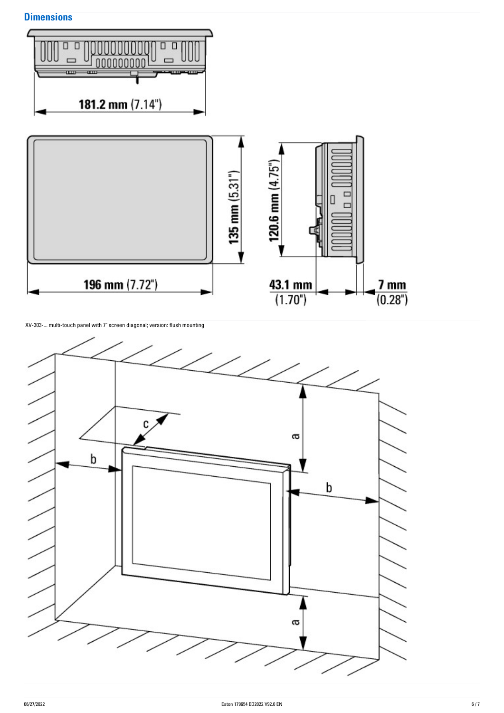## **Dimensions**